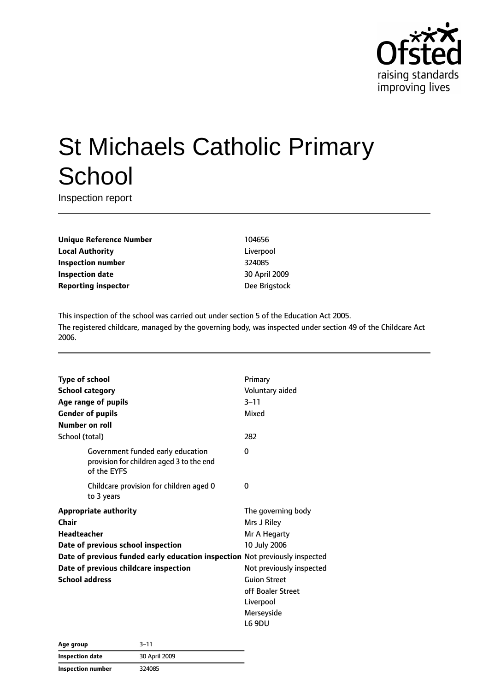

# St Michaels Catholic Primary **School**

Inspection report

**Unique Reference Number** 104656 **Local Authority** Liverpool **Inspection number** 324085 **Inspection date** 30 April 2009 **Reporting inspector Dee Brigstock** 

This inspection of the school was carried out under section 5 of the Education Act 2005. The registered childcare, managed by the governing body, was inspected under section 49 of the Childcare Act 2006.

| <b>Type of school</b>                                                       |                                                                                              | Primary                  |
|-----------------------------------------------------------------------------|----------------------------------------------------------------------------------------------|--------------------------|
| <b>School category</b>                                                      |                                                                                              | Voluntary aided          |
|                                                                             | Age range of pupils                                                                          | $3 - 11$                 |
|                                                                             | <b>Gender of pupils</b>                                                                      | Mixed                    |
| Number on roll                                                              |                                                                                              |                          |
| School (total)                                                              |                                                                                              | 282                      |
|                                                                             | Government funded early education<br>provision for children aged 3 to the end<br>of the EYFS | 0                        |
|                                                                             | Childcare provision for children aged 0<br>to 3 years                                        | 0                        |
| <b>Appropriate authority</b>                                                |                                                                                              | The governing body       |
| Chair                                                                       |                                                                                              | Mrs J Riley              |
| Headteacher                                                                 |                                                                                              | Mr A Hegarty             |
| Date of previous school inspection                                          |                                                                                              | 10 July 2006             |
| Date of previous funded early education inspection Not previously inspected |                                                                                              |                          |
|                                                                             | Date of previous childcare inspection                                                        | Not previously inspected |
| <b>School address</b>                                                       |                                                                                              | <b>Guion Street</b>      |
|                                                                             |                                                                                              | off Boaler Street        |
|                                                                             |                                                                                              | Liverpool                |
|                                                                             |                                                                                              | Merseyside               |
|                                                                             |                                                                                              | L6 9DU                   |

| Age group         | 3–11          |
|-------------------|---------------|
| Inspection date   | 30 April 2009 |
| Inspection number | 324085        |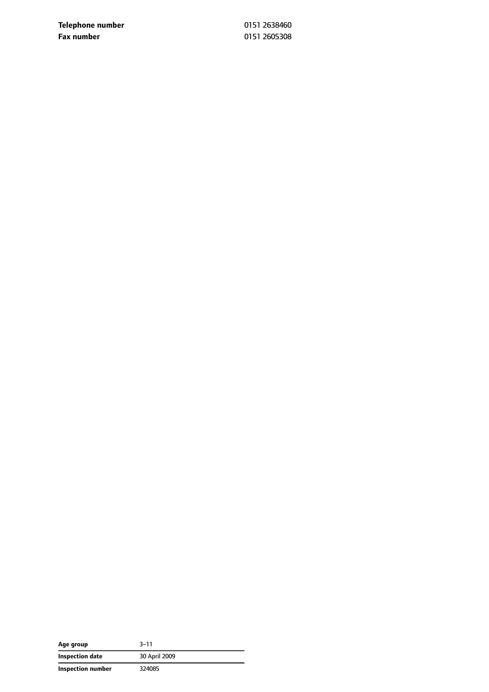**Telephone number** 0151 2638460 **Fax number** 0151 2605308

| Age group         | 3–11          |
|-------------------|---------------|
| Inspection date   | 30 April 2009 |
| Inspection number | 324085        |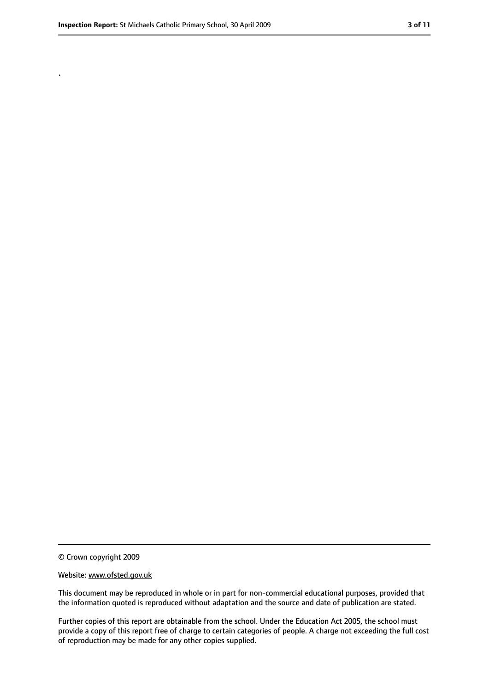.

<sup>©</sup> Crown copyright 2009

Website: www.ofsted.gov.uk

This document may be reproduced in whole or in part for non-commercial educational purposes, provided that the information quoted is reproduced without adaptation and the source and date of publication are stated.

Further copies of this report are obtainable from the school. Under the Education Act 2005, the school must provide a copy of this report free of charge to certain categories of people. A charge not exceeding the full cost of reproduction may be made for any other copies supplied.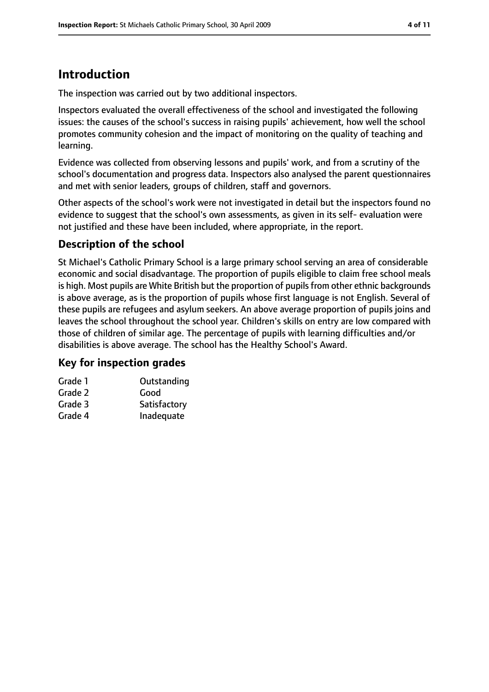## **Introduction**

The inspection was carried out by two additional inspectors.

Inspectors evaluated the overall effectiveness of the school and investigated the following issues: the causes of the school's success in raising pupils' achievement, how well the school promotes community cohesion and the impact of monitoring on the quality of teaching and learning.

Evidence was collected from observing lessons and pupils' work, and from a scrutiny of the school's documentation and progress data. Inspectors also analysed the parent questionnaires and met with senior leaders, groups of children, staff and governors.

Other aspects of the school's work were not investigated in detail but the inspectors found no evidence to suggest that the school's own assessments, as given in its self- evaluation were not justified and these have been included, where appropriate, in the report.

#### **Description of the school**

St Michael's Catholic Primary School is a large primary school serving an area of considerable economic and social disadvantage. The proportion of pupils eligible to claim free school meals is high. Most pupils are White British but the proportion of pupils from other ethnic backgrounds is above average, as is the proportion of pupils whose first language is not English. Several of these pupils are refugees and asylum seekers. An above average proportion of pupils joins and leaves the school throughout the school year. Children's skills on entry are low compared with those of children of similar age. The percentage of pupils with learning difficulties and/or disabilities is above average. The school has the Healthy School's Award.

#### **Key for inspection grades**

| Outstanding  |
|--------------|
| Good         |
| Satisfactory |
| Inadequate   |
|              |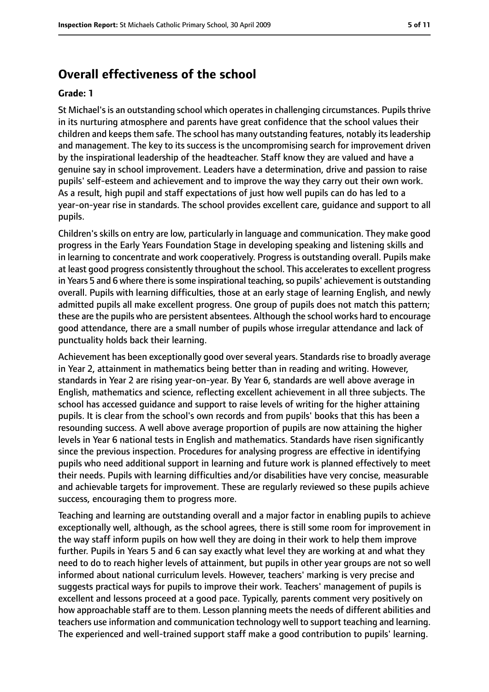#### **Overall effectiveness of the school**

#### **Grade: 1**

St Michael's is an outstanding school which operates in challenging circumstances. Pupils thrive in its nurturing atmosphere and parents have great confidence that the school values their children and keepsthem safe. The school has many outstanding features, notably itsleadership and management. The key to its success is the uncompromising search for improvement driven by the inspirational leadership of the headteacher. Staff know they are valued and have a genuine say in school improvement. Leaders have a determination, drive and passion to raise pupils' self-esteem and achievement and to improve the way they carry out their own work. As a result, high pupil and staff expectations of just how well pupils can do has led to a year-on-year rise in standards. The school provides excellent care, guidance and support to all pupils.

Children's skills on entry are low, particularly in language and communication. They make good progress in the Early Years Foundation Stage in developing speaking and listening skills and in learning to concentrate and work cooperatively. Progress is outstanding overall. Pupils make at least good progress consistently throughout the school. This acceleratesto excellent progress in Years 5 and 6 where there is some inspirational teaching, so pupils' achievement is outstanding overall. Pupils with learning difficulties, those at an early stage of learning English, and newly admitted pupils all make excellent progress. One group of pupils does not match this pattern; these are the pupils who are persistent absentees. Although the school works hard to encourage good attendance, there are a small number of pupils whose irregular attendance and lack of punctuality holds back their learning.

Achievement has been exceptionally good over several years. Standards rise to broadly average in Year 2, attainment in mathematics being better than in reading and writing. However, standards in Year 2 are rising year-on-year. By Year 6, standards are well above average in English, mathematics and science, reflecting excellent achievement in all three subjects. The school has accessed guidance and support to raise levels of writing for the higher attaining pupils. It is clear from the school's own records and from pupils' books that this has been a resounding success. A well above average proportion of pupils are now attaining the higher levels in Year 6 national tests in English and mathematics. Standards have risen significantly since the previous inspection. Procedures for analysing progress are effective in identifying pupils who need additional support in learning and future work is planned effectively to meet their needs. Pupils with learning difficulties and/or disabilities have very concise, measurable and achievable targets for improvement. These are regularly reviewed so these pupils achieve success, encouraging them to progress more.

Teaching and learning are outstanding overall and a major factor in enabling pupils to achieve exceptionally well, although, as the school agrees, there is still some room for improvement in the way staff inform pupils on how well they are doing in their work to help them improve further. Pupils in Years 5 and 6 can say exactly what level they are working at and what they need to do to reach higher levels of attainment, but pupils in other year groups are not so well informed about national curriculum levels. However, teachers' marking is very precise and suggests practical ways for pupils to improve their work. Teachers' management of pupils is excellent and lessons proceed at a good pace. Typically, parents comment very positively on how approachable staff are to them. Lesson planning meets the needs of different abilities and teachers use information and communication technology well to support teaching and learning. The experienced and well-trained support staff make a good contribution to pupils' learning.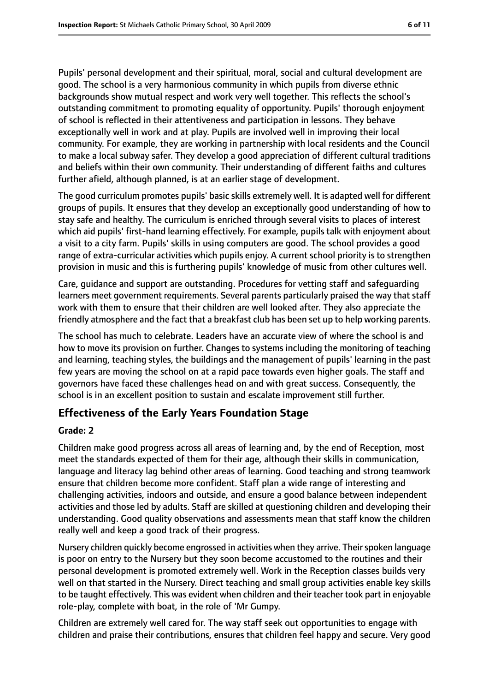Pupils' personal development and their spiritual, moral, social and cultural development are good. The school is a very harmonious community in which pupils from diverse ethnic backgrounds show mutual respect and work very well together. This reflects the school's outstanding commitment to promoting equality of opportunity. Pupils' thorough enjoyment of school is reflected in their attentiveness and participation in lessons. They behave exceptionally well in work and at play. Pupils are involved well in improving their local community. For example, they are working in partnership with local residents and the Council to make a local subway safer. They develop a good appreciation of different cultural traditions and beliefs within their own community. Their understanding of different faiths and cultures further afield, although planned, is at an earlier stage of development.

The good curriculum promotes pupils' basic skills extremely well. It is adapted well for different groups of pupils. It ensures that they develop an exceptionally good understanding of how to stay safe and healthy. The curriculum is enriched through several visits to places of interest which aid pupils' first-hand learning effectively. For example, pupils talk with enjoyment about a visit to a city farm. Pupils' skills in using computers are good. The school provides a good range of extra-curricular activities which pupils enjoy. A current school priority is to strengthen provision in music and this is furthering pupils' knowledge of music from other cultures well.

Care, guidance and support are outstanding. Procedures for vetting staff and safeguarding learners meet government requirements. Several parents particularly praised the way that staff work with them to ensure that their children are well looked after. They also appreciate the friendly atmosphere and the fact that a breakfast club has been set up to help working parents.

The school has much to celebrate. Leaders have an accurate view of where the school is and how to move its provision on further. Changes to systems including the monitoring of teaching and learning, teaching styles, the buildings and the management of pupils' learning in the past few years are moving the school on at a rapid pace towards even higher goals. The staff and governors have faced these challenges head on and with great success. Consequently, the school is in an excellent position to sustain and escalate improvement still further.

#### **Effectiveness of the Early Years Foundation Stage**

#### **Grade: 2**

Children make good progress across all areas of learning and, by the end of Reception, most meet the standards expected of them for their age, although their skills in communication, language and literacy lag behind other areas of learning. Good teaching and strong teamwork ensure that children become more confident. Staff plan a wide range of interesting and challenging activities, indoors and outside, and ensure a good balance between independent activities and those led by adults. Staff are skilled at questioning children and developing their understanding. Good quality observations and assessments mean that staff know the children really well and keep a good track of their progress.

Nursery children quickly become engrossed in activities when they arrive. Their spoken language is poor on entry to the Nursery but they soon become accustomed to the routines and their personal development is promoted extremely well. Work in the Reception classes builds very well on that started in the Nursery. Direct teaching and small group activities enable key skills to be taught effectively. This was evident when children and their teacher took part in enjoyable role-play, complete with boat, in the role of 'Mr Gumpy.

Children are extremely well cared for. The way staff seek out opportunities to engage with children and praise their contributions, ensures that children feel happy and secure. Very good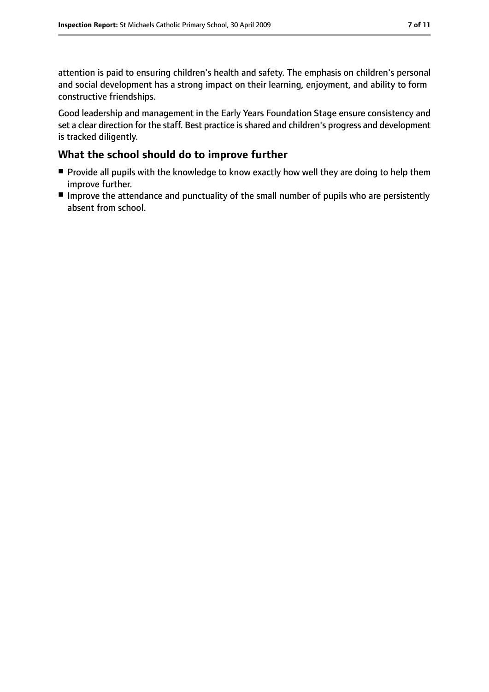attention is paid to ensuring children's health and safety. The emphasis on children's personal and social development has a strong impact on their learning, enjoyment, and ability to form constructive friendships.

Good leadership and management in the Early Years Foundation Stage ensure consistency and set a clear direction for the staff. Best practice is shared and children's progress and development is tracked diligently.

#### **What the school should do to improve further**

- Provide all pupils with the knowledge to know exactly how well they are doing to help them improve further.
- Improve the attendance and punctuality of the small number of pupils who are persistently absent from school.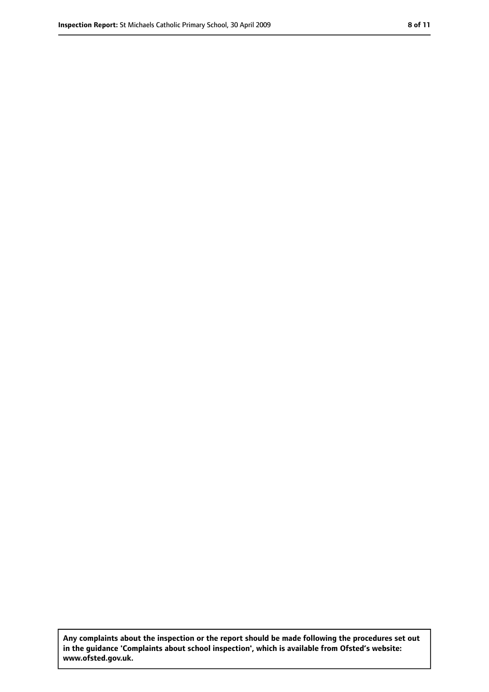**Any complaints about the inspection or the report should be made following the procedures set out in the guidance 'Complaints about school inspection', which is available from Ofsted's website: www.ofsted.gov.uk.**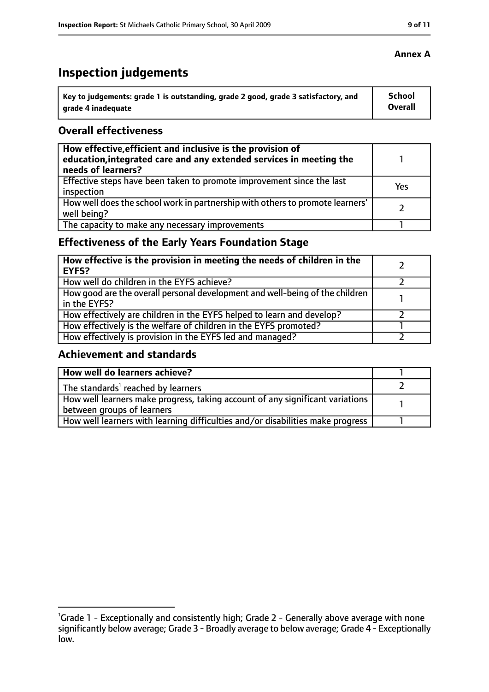# **Inspection judgements**

| Key to judgements: grade 1 is outstanding, grade 2 good, grade 3 satisfactory, and | School  |
|------------------------------------------------------------------------------------|---------|
| arade 4 inadequate                                                                 | Overall |

#### **Overall effectiveness**

| How effective, efficient and inclusive is the provision of<br>education, integrated care and any extended services in meeting the<br>needs of learners? |     |
|---------------------------------------------------------------------------------------------------------------------------------------------------------|-----|
| Effective steps have been taken to promote improvement since the last<br>inspection                                                                     | Yes |
| How well does the school work in partnership with others to promote learners'<br>well being?                                                            |     |
| The capacity to make any necessary improvements                                                                                                         |     |

## **Effectiveness of the Early Years Foundation Stage**

| How effective is the provision in meeting the needs of children in the<br><b>EYFS?</b>       |  |
|----------------------------------------------------------------------------------------------|--|
| How well do children in the EYFS achieve?                                                    |  |
| How good are the overall personal development and well-being of the children<br>in the EYFS? |  |
| How effectively are children in the EYFS helped to learn and develop?                        |  |
| How effectively is the welfare of children in the EYFS promoted?                             |  |
| How effectively is provision in the EYFS led and managed?                                    |  |

#### **Achievement and standards**

| How well do learners achieve?                                                  |  |
|--------------------------------------------------------------------------------|--|
| The standards <sup>1</sup> reached by learners                                 |  |
| How well learners make progress, taking account of any significant variations  |  |
| between groups of learners                                                     |  |
| How well learners with learning difficulties and/or disabilities make progress |  |

#### **Annex A**

<sup>&</sup>lt;sup>1</sup>Grade 1 - Exceptionally and consistently high; Grade 2 - Generally above average with none significantly below average; Grade 3 - Broadly average to below average; Grade 4 - Exceptionally low.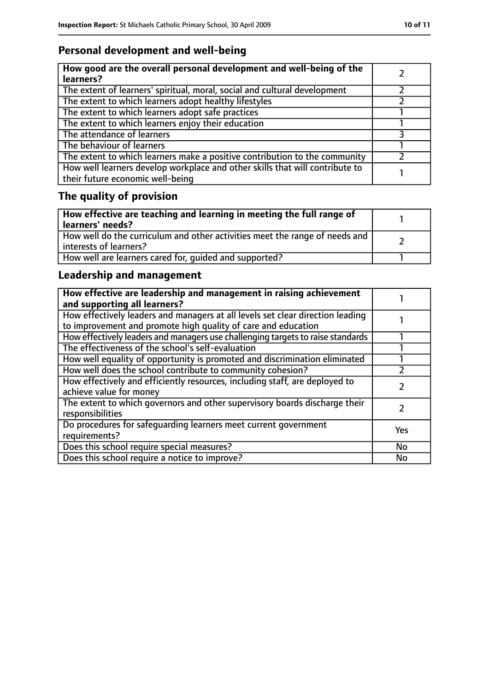## **Personal development and well-being**

| How good are the overall personal development and well-being of the<br>learners?                                 |  |
|------------------------------------------------------------------------------------------------------------------|--|
| The extent of learners' spiritual, moral, social and cultural development                                        |  |
| The extent to which learners adopt healthy lifestyles                                                            |  |
| The extent to which learners adopt safe practices                                                                |  |
| The extent to which learners enjoy their education                                                               |  |
| The attendance of learners                                                                                       |  |
| The behaviour of learners                                                                                        |  |
| The extent to which learners make a positive contribution to the community                                       |  |
| How well learners develop workplace and other skills that will contribute to<br>their future economic well-being |  |

## **The quality of provision**

| $\mid$ How effective are teaching and learning in meeting the full range of<br>  learners' needs?       |  |
|---------------------------------------------------------------------------------------------------------|--|
| How well do the curriculum and other activities meet the range of needs and<br>  interests of learners? |  |
| How well are learners cared for, quided and supported?                                                  |  |

## **Leadership and management**

| How effective are leadership and management in raising achievement<br>and supporting all learners?                                              |     |
|-------------------------------------------------------------------------------------------------------------------------------------------------|-----|
| How effectively leaders and managers at all levels set clear direction leading<br>to improvement and promote high quality of care and education |     |
| How effectively leaders and managers use challenging targets to raise standards                                                                 |     |
| The effectiveness of the school's self-evaluation                                                                                               |     |
| How well equality of opportunity is promoted and discrimination eliminated                                                                      |     |
| How well does the school contribute to community cohesion?                                                                                      |     |
| How effectively and efficiently resources, including staff, are deployed to<br>achieve value for money                                          |     |
| The extent to which governors and other supervisory boards discharge their<br>responsibilities                                                  |     |
| Do procedures for safequarding learners meet current government<br>requirements?                                                                | Yes |
| Does this school require special measures?                                                                                                      | No  |
| Does this school require a notice to improve?                                                                                                   | No  |